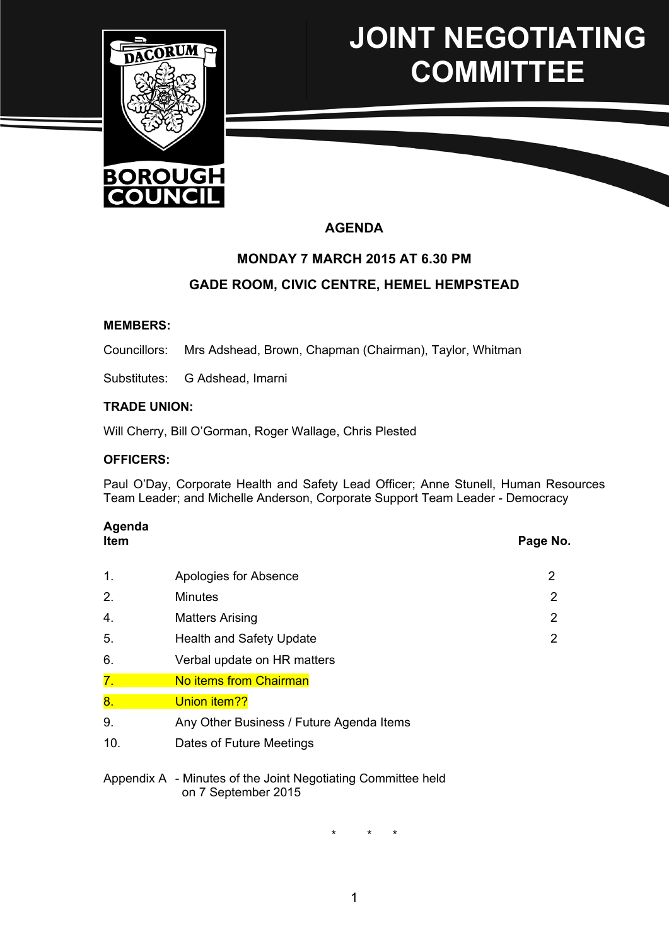

# **JOINT NEGOTIATING COMMITTEE**

# **AGENDA**

## **MONDAY 7 MARCH 2015 AT 6.30 PM**

## **GADE ROOM, CIVIC CENTRE, HEMEL HEMPSTEAD**

#### **MEMBERS:**

Councillors: Mrs Adshead, Brown, Chapman (Chairman), Taylor, Whitman

Substitutes: G Adshead, Imarni

#### **TRADE UNION:**

Will Cherry, Bill O'Gorman, Roger Wallage, Chris Plested

#### **OFFICERS:**

Paul O'Day, Corporate Health and Safety Lead Officer; Anne Stunell, Human Resources Team Leader; and Michelle Anderson, Corporate Support Team Leader - Democracy

# **Agenda**

**Item Page No.**

| 1.               | Apologies for Absence                    | 2 |
|------------------|------------------------------------------|---|
| 2.               | <b>Minutes</b>                           | 2 |
| 4.               | <b>Matters Arising</b>                   | 2 |
| 5.               | <b>Health and Safety Update</b>          | 2 |
| 6.               | Verbal update on HR matters              |   |
| $\overline{7}$ . | No items from Chairman                   |   |
| 8.               | Union item??                             |   |
| 9.               | Any Other Business / Future Agenda Items |   |
| 10.              | Dates of Future Meetings                 |   |
|                  |                                          |   |

Appendix A - Minutes of the Joint Negotiating Committee held on 7 September 2015

\* \* \*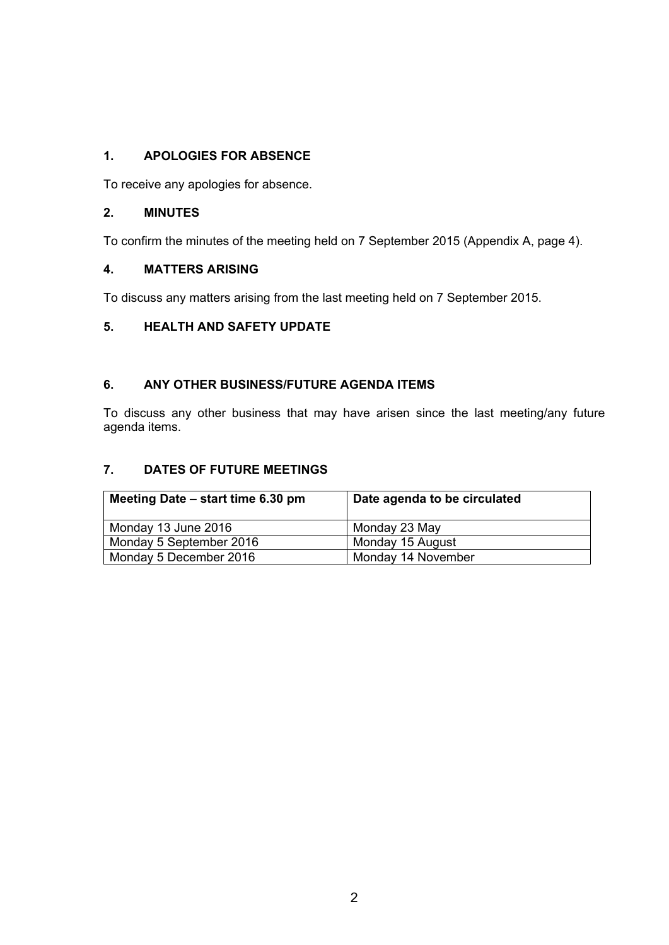## **1. APOLOGIES FOR ABSENCE**

To receive any apologies for absence.

## **2. MINUTES**

To confirm the minutes of the meeting held on 7 September 2015 (Appendix A, page 4).

## **4. MATTERS ARISING**

To discuss any matters arising from the last meeting held on 7 September 2015.

## **5. HEALTH AND SAFETY UPDATE**

## **6. ANY OTHER BUSINESS/FUTURE AGENDA ITEMS**

To discuss any other business that may have arisen since the last meeting/any future agenda items.

## **7. DATES OF FUTURE MEETINGS**

| Meeting Date – start time 6.30 pm | Date agenda to be circulated |
|-----------------------------------|------------------------------|
| Monday 13 June 2016               | Monday 23 May                |
| Monday 5 September 2016           | Monday 15 August             |
| Monday 5 December 2016            | Monday 14 November           |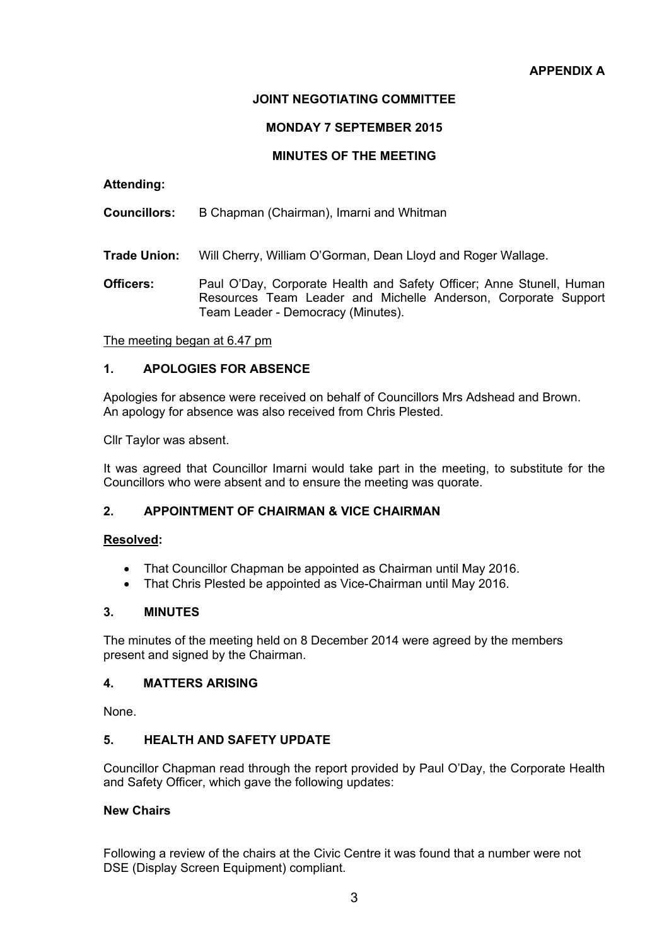## **JOINT NEGOTIATING COMMITTEE**

#### **MONDAY 7 SEPTEMBER 2015**

#### **MINUTES OF THE MEETING**

#### **Attending:**

**Councillors:** B Chapman (Chairman), Imarni and Whitman

**Trade Union:** Will Cherry, William O'Gorman, Dean Lloyd and Roger Wallage.

**Officers:** Paul O'Day, Corporate Health and Safety Officer; Anne Stunell, Human Resources Team Leader and Michelle Anderson, Corporate Support Team Leader - Democracy (Minutes).

The meeting began at 6.47 pm

#### **1. APOLOGIES FOR ABSENCE**

Apologies for absence were received on behalf of Councillors Mrs Adshead and Brown. An apology for absence was also received from Chris Plested.

Cllr Taylor was absent.

It was agreed that Councillor Imarni would take part in the meeting, to substitute for the Councillors who were absent and to ensure the meeting was quorate.

#### **2. APPOINTMENT OF CHAIRMAN & VICE CHAIRMAN**

#### **Resolved:**

- That Councillor Chapman be appointed as Chairman until May 2016.
- That Chris Plested be appointed as Vice-Chairman until May 2016.

#### **3. MINUTES**

The minutes of the meeting held on 8 December 2014 were agreed by the members present and signed by the Chairman.

#### **4. MATTERS ARISING**

None.

#### **5. HEALTH AND SAFETY UPDATE**

Councillor Chapman read through the report provided by Paul O'Day, the Corporate Health and Safety Officer, which gave the following updates:

#### **New Chairs**

Following a review of the chairs at the Civic Centre it was found that a number were not DSE (Display Screen Equipment) compliant.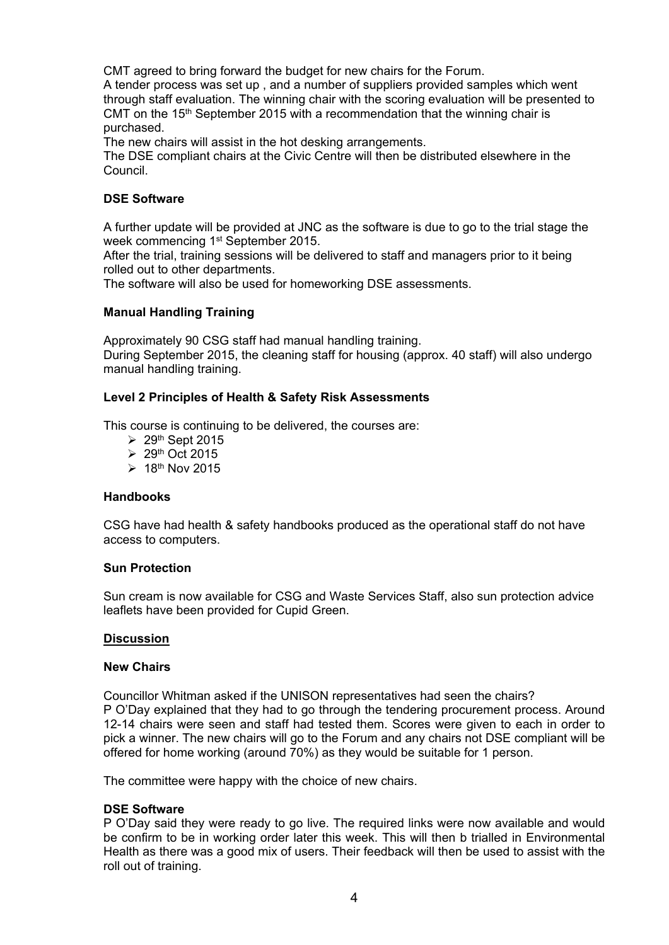CMT agreed to bring forward the budget for new chairs for the Forum.

A tender process was set up , and a number of suppliers provided samples which went through staff evaluation. The winning chair with the scoring evaluation will be presented to CMT on the 15<sup>th</sup> September 2015 with a recommendation that the winning chair is purchased.

The new chairs will assist in the hot desking arrangements.

The DSE compliant chairs at the Civic Centre will then be distributed elsewhere in the Council.

### **DSE Software**

A further update will be provided at JNC as the software is due to go to the trial stage the week commencing 1<sup>st</sup> September 2015.

After the trial, training sessions will be delivered to staff and managers prior to it being rolled out to other departments.

The software will also be used for homeworking DSE assessments.

#### **Manual Handling Training**

Approximately 90 CSG staff had manual handling training. During September 2015, the cleaning staff for housing (approx. 40 staff) will also undergo manual handling training.

#### **Level 2 Principles of Health & Safety Risk Assessments**

This course is continuing to be delivered, the courses are:

- $\geq 29$ <sup>th</sup> Sept 2015
- $\geq 29$ <sup>th</sup> Oct 2015
- $\geq 18$ <sup>th</sup> Nov 2015

#### **Handbooks**

CSG have had health & safety handbooks produced as the operational staff do not have access to computers.

#### **Sun Protection**

Sun cream is now available for CSG and Waste Services Staff, also sun protection advice leaflets have been provided for Cupid Green.

#### **Discussion**

#### **New Chairs**

Councillor Whitman asked if the UNISON representatives had seen the chairs? P O'Day explained that they had to go through the tendering procurement process. Around 12-14 chairs were seen and staff had tested them. Scores were given to each in order to pick a winner. The new chairs will go to the Forum and any chairs not DSE compliant will be offered for home working (around 70%) as they would be suitable for 1 person.

The committee were happy with the choice of new chairs.

#### **DSE Software**

P O'Day said they were ready to go live. The required links were now available and would be confirm to be in working order later this week. This will then b trialled in Environmental Health as there was a good mix of users. Their feedback will then be used to assist with the roll out of training.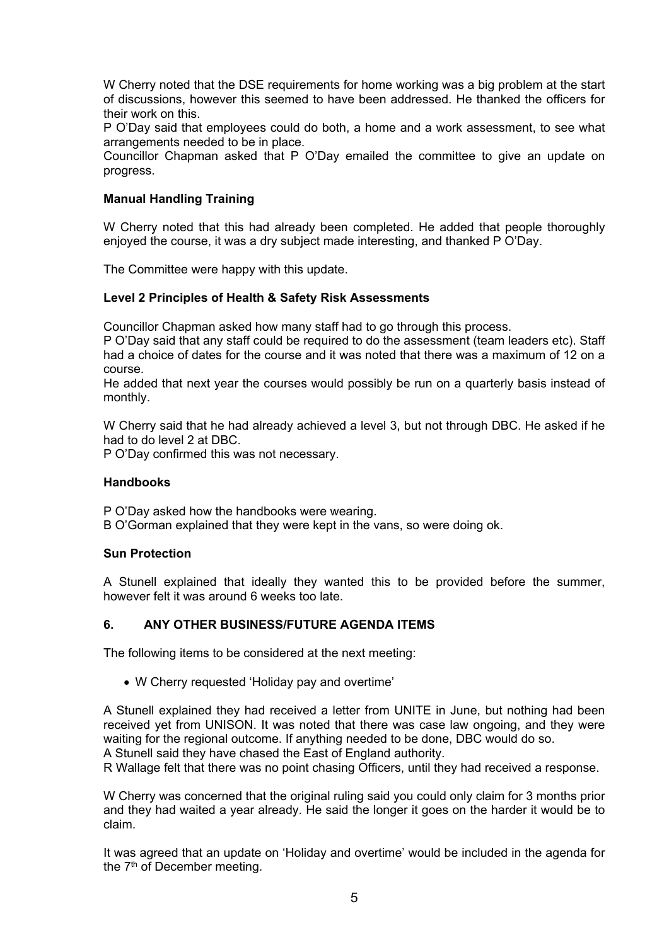W Cherry noted that the DSE requirements for home working was a big problem at the start of discussions, however this seemed to have been addressed. He thanked the officers for their work on this.

P O'Day said that employees could do both, a home and a work assessment, to see what arrangements needed to be in place.

Councillor Chapman asked that P O'Day emailed the committee to give an update on progress.

#### **Manual Handling Training**

W Cherry noted that this had already been completed. He added that people thoroughly enjoyed the course, it was a dry subject made interesting, and thanked P O'Day.

The Committee were happy with this update.

#### **Level 2 Principles of Health & Safety Risk Assessments**

Councillor Chapman asked how many staff had to go through this process.

P O'Day said that any staff could be required to do the assessment (team leaders etc). Staff had a choice of dates for the course and it was noted that there was a maximum of 12 on a course.

He added that next year the courses would possibly be run on a quarterly basis instead of monthly.

W Cherry said that he had already achieved a level 3, but not through DBC. He asked if he had to do level 2 at DBC.

P O'Day confirmed this was not necessary.

#### **Handbooks**

P O'Day asked how the handbooks were wearing.

B O'Gorman explained that they were kept in the vans, so were doing ok.

#### **Sun Protection**

A Stunell explained that ideally they wanted this to be provided before the summer, however felt it was around 6 weeks too late.

#### **6. ANY OTHER BUSINESS/FUTURE AGENDA ITEMS**

The following items to be considered at the next meeting:

W Cherry requested 'Holiday pay and overtime'

A Stunell explained they had received a letter from UNITE in June, but nothing had been received yet from UNISON. It was noted that there was case law ongoing, and they were waiting for the regional outcome. If anything needed to be done, DBC would do so.

A Stunell said they have chased the East of England authority.

R Wallage felt that there was no point chasing Officers, until they had received a response.

W Cherry was concerned that the original ruling said you could only claim for 3 months prior and they had waited a year already. He said the longer it goes on the harder it would be to claim.

It was agreed that an update on 'Holiday and overtime' would be included in the agenda for the 7<sup>th</sup> of December meeting.